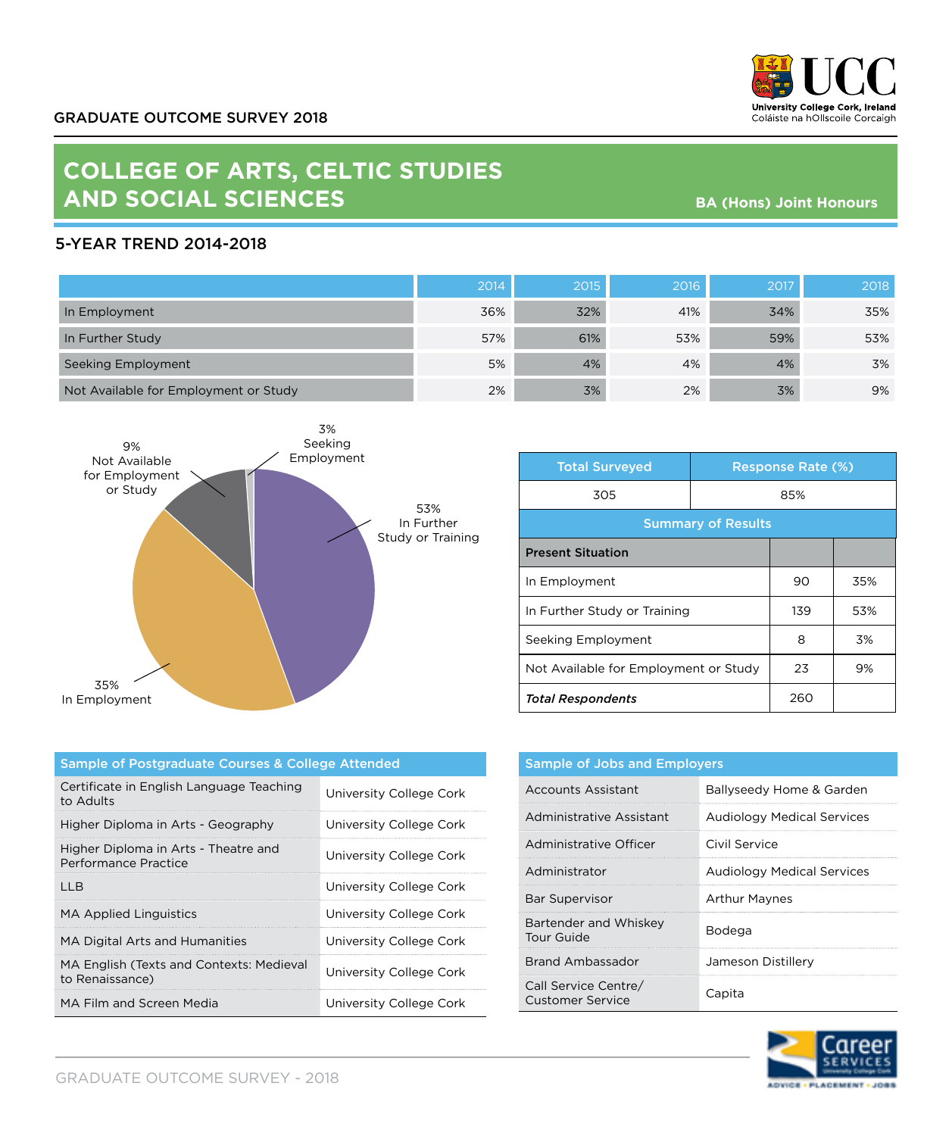

# **COLLEGE OF ARTS, CELTIC STUDIES AND SOCIAL SCIENCES**

**BA (Hons) Joint Honours**

## 5-YEAR TREND 2014-2018

|                                       | 2014 | 2015 | 2016 | 2017 | 2018 |
|---------------------------------------|------|------|------|------|------|
| In Employment                         | 36%  | 32%  | 41%  | 34%  | 35%  |
| In Further Study                      | 57%  | 61%  | 53%  | 59%  | 53%  |
| Seeking Employment                    | 5%   | 4%   | 4%   | 4%   | 3%   |
| Not Available for Employment or Study | 2%   | 3%   | 2%   | 3%   | 9%   |



| <b>Total Surveyed</b>                 |     | <b>Response Rate (%)</b> |     |
|---------------------------------------|-----|--------------------------|-----|
| 305                                   | 85% |                          |     |
| <b>Summary of Results</b>             |     |                          |     |
| <b>Present Situation</b>              |     |                          |     |
| In Employment                         |     | 90                       | 35% |
| In Further Study or Training          |     | 139                      | 53% |
| Seeking Employment                    |     | 8                        | 3%  |
| Not Available for Employment or Study |     | 23                       | 9%  |
| <b>Total Respondents</b>              |     | 260                      |     |

| Sample of Postgraduate Courses & College Attended            |                         |  |
|--------------------------------------------------------------|-------------------------|--|
| Certificate in English Language Teaching<br>to Adults        | University College Cork |  |
| Higher Diploma in Arts - Geography                           | University College Cork |  |
| Higher Diploma in Arts - Theatre and<br>Performance Practice | University College Cork |  |
| I I B                                                        | University College Cork |  |
| <b>MA Applied Linguistics</b>                                | University College Cork |  |
| MA Digital Arts and Humanities                               | University College Cork |  |
| MA English (Texts and Contexts: Medieval<br>to Renaissance)  | University College Cork |  |
| MA Film and Screen Media                                     | University College Cork |  |

| <b>Sample of Jobs and Employers</b>      |                                   |  |
|------------------------------------------|-----------------------------------|--|
| Accounts Assistant                       | Ballyseedy Home & Garden          |  |
| Administrative Assistant                 | <b>Audiology Medical Services</b> |  |
| Administrative Officer                   | Civil Service                     |  |
| Administrator                            | <b>Audiology Medical Services</b> |  |
| Bar Supervisor                           | <b>Arthur Maynes</b>              |  |
| Bartender and Whiskey<br>Tour Guide      | Bodega                            |  |
| Brand Ambassador                         | Jameson Distillery                |  |
| Call Service Centre/<br>Customer Service | Capita                            |  |

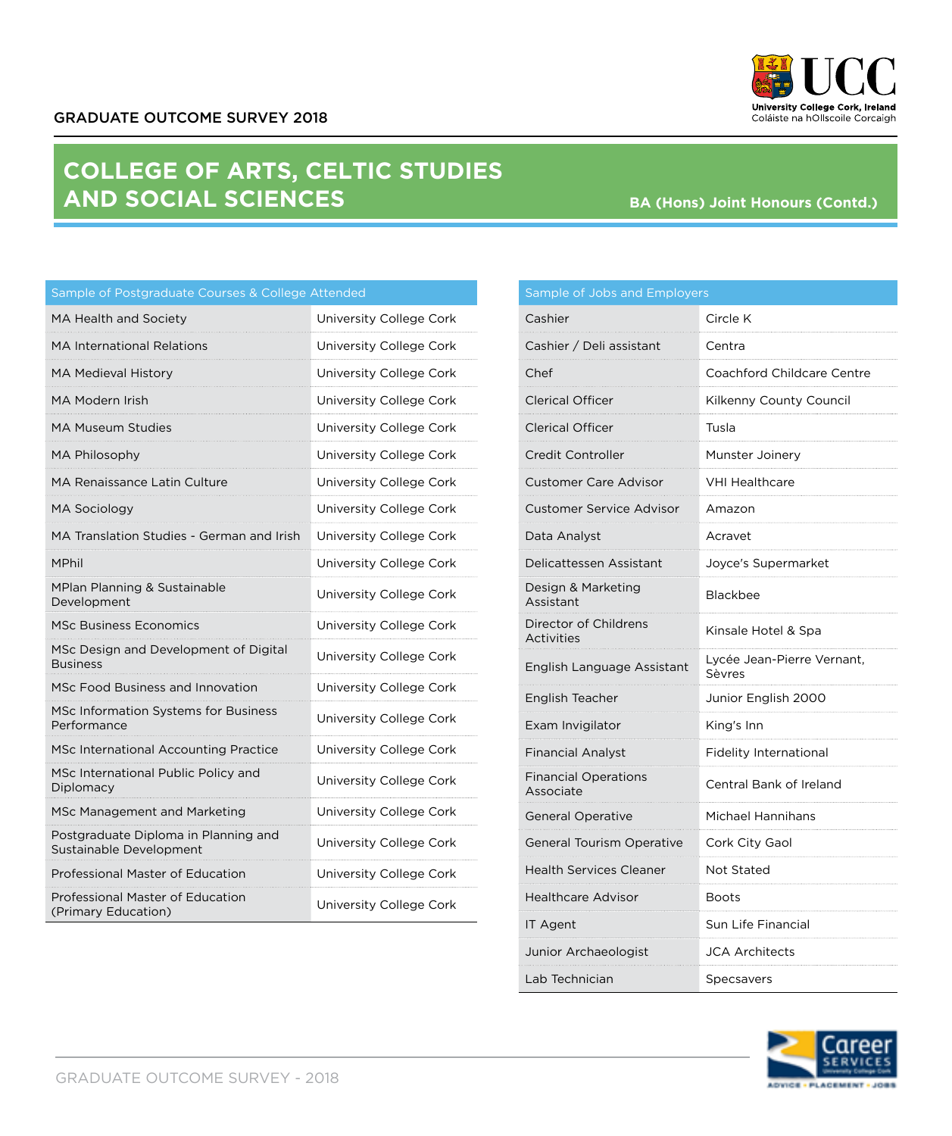GRADUATE OUTCOME SURVEY 2018

# **COLLEGE OF ARTS, CELTIC STUDIES AND SOCIAL SCIENCES**

MA Health and Society **National Society** University College Cork MA International Relations **University College Cork** 

# Cashier Circle K

**BA (Hons) Joint Honours (Contd.)**

| <b>MA Medieval History</b>                                      | University College Cork |
|-----------------------------------------------------------------|-------------------------|
| MA Modern Irish                                                 | University College Cork |
| MA Museum Studies                                               | University College Cork |
| MA Philosophy                                                   | University College Cork |
| <b>MA Renaissance Latin Culture</b>                             | University College Cork |
| MA Sociology                                                    | University College Cork |
| MA Translation Studies - German and Irish                       | University College Cork |
| MPhil                                                           | University College Cork |
| MPlan Planning & Sustainable<br>Development                     | University College Cork |
| <b>MSc Business Economics</b>                                   | University College Cork |
| MSc Design and Development of Digital<br><b>Business</b>        | University College Cork |
| MSc Food Business and Innovation                                | University College Cork |
| MSc Information Systems for Business<br>Performance             | University College Cork |
| MSc International Accounting Practice                           | University College Cork |
| MSc International Public Policy and<br>Diplomacy                | University College Cork |
| MSc Management and Marketing                                    | University College Cork |
| Postgraduate Diploma in Planning and<br>Sustainable Development | University College Cork |
| Professional Master of Education                                | University College Cork |
| Professional Master of Education<br>(Primary Education)         | University College Cork |

| Cashier / Deli assistant                 | Centra                               |
|------------------------------------------|--------------------------------------|
| Chef                                     | Coachford Childcare Centre           |
| <b>Clerical Officer</b>                  | Kilkenny County Council              |
| <b>Clerical Officer</b>                  | Tusla                                |
| Credit Controller                        | Munster Joinery                      |
| <b>Customer Care Advisor</b>             | <b>VHI Healthcare</b>                |
| <b>Customer Service Advisor</b>          | Amazon<br>.                          |
| Data Analyst                             | Acravet                              |
| Delicattessen Assistant                  | Joyce's Supermarket                  |
| Design & Marketing<br>Assistant          | Blackbee                             |
| Director of Childrens<br>Activities      | Kinsale Hotel & Spa                  |
| English Language Assistant               | Lycée Jean-Pierre Vernant,<br>Sèvres |
| English Teacher                          | Junior English 2000                  |
| Exam Invigilator                         | King's Inn                           |
| <b>Financial Analyst</b>                 | <b>Fidelity International</b>        |
| <b>Financial Operations</b><br>Associate | Central Bank of Ireland              |
| <b>General Operative</b>                 | Michael Hannihans                    |
| General Tourism Operative                | Cork City Gaol                       |
| <b>Health Services Cleaner</b>           | Not Stated                           |
| Healthcare Advisor                       | Boots                                |
| IT Agent                                 | Sun Life Financial                   |
| Junior Archaeologist                     | JCA Architects                       |
| Lab Technician                           | Specsavers                           |